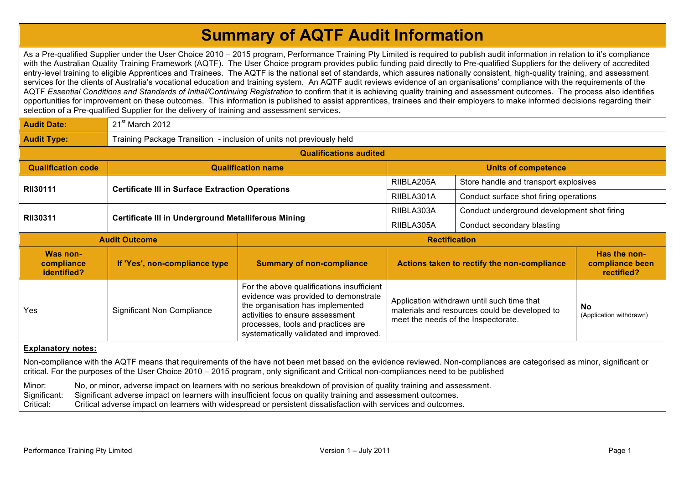## **Summary of AQTF Audit Information**

As a Pre-qualified Supplier under the User Choice 2010 – 2015 program, Performance Training Pty Limited is required to publish audit information in relation to it's compliance with the Australian Quality Training Framework (AQTF). The User Choice program provides public funding paid directly to Pre-qualified Suppliers for the delivery of accredited entry-level training to eligible Apprentices and Trainees. The AQTF is the national set of standards, which assures nationally consistent, high-quality training, and assessment services for the clients of Australia's vocational education and training system. An AQTF audit reviews evidence of an organisations' compliance with the requirements of the AQTF *Essential Conditions and Standards of Initial/Continuing Registration* to confirm that it is achieving quality training and assessment outcomes. The process also identifies opportunities for improvement on these outcomes. This information is published to assist apprentices, trainees and their employers to make informed decisions regarding their selection of a Pre-qualified Supplier for the delivery of training and assessment services.

| <b>Audit Date:</b>                    | 21 <sup>st</sup> March 2012                                          |                                                                                                                                                                                                                                          |                            |                                                                                                                                    |                                               |  |  |  |  |
|---------------------------------------|----------------------------------------------------------------------|------------------------------------------------------------------------------------------------------------------------------------------------------------------------------------------------------------------------------------------|----------------------------|------------------------------------------------------------------------------------------------------------------------------------|-----------------------------------------------|--|--|--|--|
| <b>Audit Type:</b>                    | Training Package Transition - inclusion of units not previously held |                                                                                                                                                                                                                                          |                            |                                                                                                                                    |                                               |  |  |  |  |
| <b>Qualifications audited</b>         |                                                                      |                                                                                                                                                                                                                                          |                            |                                                                                                                                    |                                               |  |  |  |  |
| <b>Qualification code</b>             | <b>Qualification name</b>                                            |                                                                                                                                                                                                                                          | <b>Units of competence</b> |                                                                                                                                    |                                               |  |  |  |  |
| <b>RII30111</b>                       | <b>Certificate III in Surface Extraction Operations</b>              |                                                                                                                                                                                                                                          | RIIBLA205A                 | Store handle and transport explosives                                                                                              |                                               |  |  |  |  |
|                                       |                                                                      |                                                                                                                                                                                                                                          | RIIBLA301A                 | Conduct surface shot firing operations                                                                                             |                                               |  |  |  |  |
| <b>RII30311</b>                       | <b>Certificate III in Underground Metalliferous Mining</b>           |                                                                                                                                                                                                                                          | RIIBLA303A                 | Conduct underground development shot firing                                                                                        |                                               |  |  |  |  |
|                                       |                                                                      |                                                                                                                                                                                                                                          | RIIBLA305A                 | Conduct secondary blasting                                                                                                         |                                               |  |  |  |  |
| <b>Audit Outcome</b>                  |                                                                      | <b>Rectification</b>                                                                                                                                                                                                                     |                            |                                                                                                                                    |                                               |  |  |  |  |
|                                       |                                                                      |                                                                                                                                                                                                                                          |                            |                                                                                                                                    |                                               |  |  |  |  |
| Was non-<br>compliance<br>identified? | If 'Yes', non-compliance type                                        | <b>Summary of non-compliance</b>                                                                                                                                                                                                         |                            | Actions taken to rectify the non-compliance                                                                                        | Has the non-<br>compliance been<br>rectified? |  |  |  |  |
| Yes                                   | Significant Non Compliance                                           | For the above qualifications insufficient<br>evidence was provided to demonstrate<br>the organisation has implemented<br>activities to ensure assessment<br>processes, tools and practices are<br>systematically validated and improved. |                            | Application withdrawn until such time that<br>materials and resources could be developed to<br>meet the needs of the Inspectorate. | <b>No</b><br>(Application withdrawn)          |  |  |  |  |

## **Explanatory notes:**

Non-compliance with the AQTF means that requirements of the have not been met based on the evidence reviewed. Non-compliances are categorised as minor, significant or critical. For the purposes of the User Choice 2010 – 2015 program, only significant and Critical non-compliances need to be published

Minor: No, or minor, adverse impact on learners with no serious breakdown of provision of quality training and assessment.

Significant: Significant adverse impact on learners with insufficient focus on quality training and assessment outcomes.

Critical: Critical adverse impact on learners with widespread or persistent dissatisfaction with services and outcomes.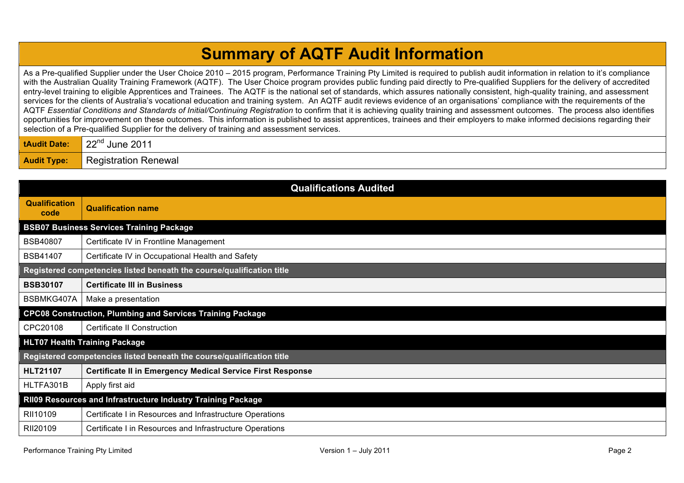## **Summary of AQTF Audit Information**

As a Pre-qualified Supplier under the User Choice 2010 – 2015 program, Performance Training Pty Limited is required to publish audit information in relation to it's compliance with the Australian Quality Training Framework (AQTF). The User Choice program provides public funding paid directly to Pre-qualified Suppliers for the delivery of accredited entry-level training to eligible Apprentices and Trainees. The AQTF is the national set of standards, which assures nationally consistent, high-quality training, and assessment services for the clients of Australia's vocational education and training system. An AQTF audit reviews evidence of an organisations' compliance with the requirements of the AQTF *Essential Conditions and Standards of Initial/Continuing Registration* to confirm that it is achieving quality training and assessment outcomes. The process also identifies opportunities for improvement on these outcomes. This information is published to assist apprentices, trainees and their employers to make informed decisions regarding their selection of a Pre-qualified Supplier for the delivery of training and assessment services.

| : Date:            | ດດ⊓d<br>June 2011<br>77     |
|--------------------|-----------------------------|
| <b>Audit Type:</b> | <b>Registration Renewal</b> |

| <b>Qualifications Audited</b>                                         |                                                                   |  |  |  |
|-----------------------------------------------------------------------|-------------------------------------------------------------------|--|--|--|
| <b>Qualification</b><br>code                                          | <b>Qualification name</b>                                         |  |  |  |
| <b>BSB07 Business Services Training Package</b>                       |                                                                   |  |  |  |
| <b>BSB40807</b>                                                       | Certificate IV in Frontline Management                            |  |  |  |
| <b>BSB41407</b>                                                       | Certificate IV in Occupational Health and Safety                  |  |  |  |
| Registered competencies listed beneath the course/qualification title |                                                                   |  |  |  |
| <b>BSB30107</b>                                                       | <b>Certificate III in Business</b>                                |  |  |  |
| BSBMKG407A                                                            | Make a presentation                                               |  |  |  |
| <b>CPC08 Construction, Plumbing and Services Training Package</b>     |                                                                   |  |  |  |
| CPC20108                                                              | <b>Certificate II Construction</b>                                |  |  |  |
| <b>HLT07 Health Training Package</b>                                  |                                                                   |  |  |  |
| Registered competencies listed beneath the course/qualification title |                                                                   |  |  |  |
| <b>HLT21107</b>                                                       | <b>Certificate II in Emergency Medical Service First Response</b> |  |  |  |
| HLTFA301B                                                             | Apply first aid                                                   |  |  |  |
| RII09 Resources and Infrastructure Industry Training Package          |                                                                   |  |  |  |
| RII10109                                                              | Certificate I in Resources and Infrastructure Operations          |  |  |  |
| RII20109                                                              | Certificate I in Resources and Infrastructure Operations          |  |  |  |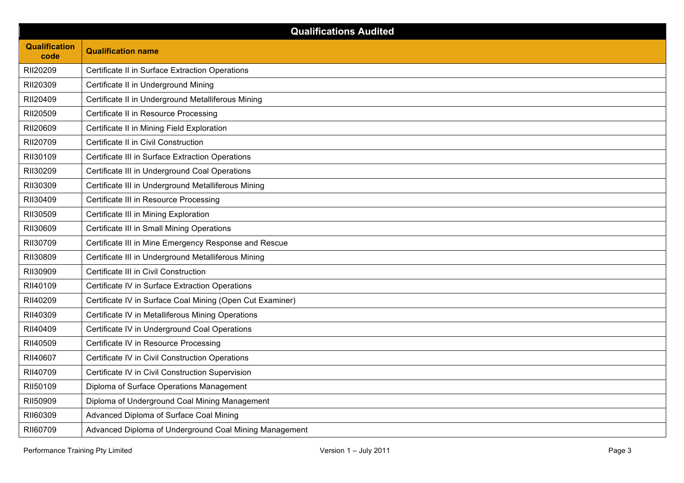| <b>Qualifications Audited</b> |                                                           |  |  |  |
|-------------------------------|-----------------------------------------------------------|--|--|--|
| <b>Qualification</b><br>code  | <b>Qualification name</b>                                 |  |  |  |
| RII20209                      | Certificate II in Surface Extraction Operations           |  |  |  |
| RII20309                      | Certificate II in Underground Mining                      |  |  |  |
| RII20409                      | Certificate II in Underground Metalliferous Mining        |  |  |  |
| RII20509                      | Certificate II in Resource Processing                     |  |  |  |
| RII20609                      | Certificate II in Mining Field Exploration                |  |  |  |
| RII20709                      | Certificate II in Civil Construction                      |  |  |  |
| RII30109                      | Certificate III in Surface Extraction Operations          |  |  |  |
| RII30209                      | Certificate III in Underground Coal Operations            |  |  |  |
| RII30309                      | Certificate III in Underground Metalliferous Mining       |  |  |  |
| RII30409                      | Certificate III in Resource Processing                    |  |  |  |
| RII30509                      | Certificate III in Mining Exploration                     |  |  |  |
| RII30609                      | Certificate III in Small Mining Operations                |  |  |  |
| RII30709                      | Certificate III in Mine Emergency Response and Rescue     |  |  |  |
| RII30809                      | Certificate III in Underground Metalliferous Mining       |  |  |  |
| RII30909                      | Certificate III in Civil Construction                     |  |  |  |
| RII40109                      | Certificate IV in Surface Extraction Operations           |  |  |  |
| RII40209                      | Certificate IV in Surface Coal Mining (Open Cut Examiner) |  |  |  |
| RII40309                      | Certificate IV in Metalliferous Mining Operations         |  |  |  |
| RII40409                      | Certificate IV in Underground Coal Operations             |  |  |  |
| RII40509                      | Certificate IV in Resource Processing                     |  |  |  |
| RII40607                      | Certificate IV in Civil Construction Operations           |  |  |  |
| RII40709                      | Certificate IV in Civil Construction Supervision          |  |  |  |
| RII50109                      | Diploma of Surface Operations Management                  |  |  |  |
| RII50909                      | Diploma of Underground Coal Mining Management             |  |  |  |
| RII60309                      | Advanced Diploma of Surface Coal Mining                   |  |  |  |
| RII60709                      | Advanced Diploma of Underground Coal Mining Management    |  |  |  |